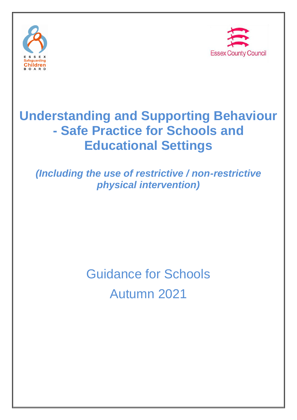



# **Understanding and Supporting Behaviour - Safe Practice for Schools and Educational Settings**

*(Including the use of restrictive / non-restrictive physical intervention)*

# Guidance for Schools Autumn 2021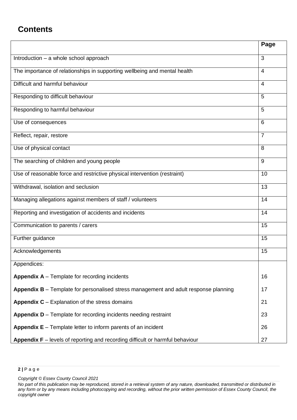# **Contents**

|                                                                                                   | Page           |
|---------------------------------------------------------------------------------------------------|----------------|
| Introduction - a whole school approach                                                            | 3              |
| The importance of relationships in supporting wellbeing and mental health                         | 4              |
| Difficult and harmful behaviour                                                                   | 4              |
| Responding to difficult behaviour                                                                 | 5              |
| Responding to harmful behaviour                                                                   | 5              |
| Use of consequences                                                                               | 6              |
| Reflect, repair, restore                                                                          | $\overline{7}$ |
| Use of physical contact                                                                           | 8              |
| The searching of children and young people                                                        | 9              |
| Use of reasonable force and restrictive physical intervention (restraint)                         | 10             |
| Withdrawal, isolation and seclusion                                                               | 13             |
| Managing allegations against members of staff / volunteers                                        | 14             |
| Reporting and investigation of accidents and incidents                                            | 14             |
| Communication to parents / carers                                                                 | 15             |
| Further guidance                                                                                  | 15             |
| Acknowledgements                                                                                  | 15             |
| Appendices:                                                                                       |                |
| <b>Appendix <math>A -</math> Template for recording incidents</b>                                 | 16             |
| Appendix B - Template for personalised stress management and adult response planning              | 17             |
| <b>Appendix C</b> $-$ Explanation of the stress domains                                           | 21             |
| Appendix D - Template for recording incidents needing restraint                                   | 23             |
| <b>Appendix <math>E -</math></b> Template letter to inform parents of an incident                 | 26             |
| <b>Appendix <math>F</math></b> – levels of reporting and recording difficult or harmful behaviour | 27             |

#### **2 |** P a g e

*Copyright © Essex County Council 2021*

*No part of this publication may be reproduced, stored in a retrieval system of any nature, downloaded, transmitted or distributed in any form or by any means including photocopying and recording, without the prior written permission of Essex County Council, the copyright owner*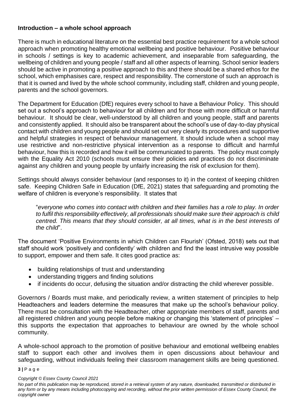## **Introduction – a whole school approach**

There is much in educational literature on the essential best practice requirement for a whole school approach when promoting healthy emotional wellbeing and positive behaviour. Positive behaviour in schools / settings is key to academic achievement, and inseparable from safeguarding, the wellbeing of children and young people / staff and all other aspects of learning. School senior leaders should be active in promoting a positive approach to this and there should be a shared ethos for the school, which emphasises care, respect and responsibility. The cornerstone of such an approach is that it is owned and lived by the whole school community, including staff, children and young people, parents and the school governors.

The Department for Education (DfE) requires every school to have a Behaviour Policy. This should set out a school's approach to behaviour for all children and for those with more difficult or harmful behaviour. It should be clear, well-understood by all children and young people, staff and parents and consistently applied. It should also be transparent about the school's use of day-to-day physical contact with children and young people and should set out very clearly its procedures and supportive and helpful strategies in respect of behaviour management. It should include when a school may use restrictive and non-restrictive physical intervention as a response to difficult and harmful behaviour, how this is recorded and how it will be communicated to parents. The policy must comply with the Equality Act 2010 (schools must ensure their policies and practices do not discriminate against any children and young people by unfairly increasing the risk of exclusion for them).

Settings should always consider behaviour (and responses to it) in the context of keeping children safe. Keeping Children Safe in Education (DfE, 2021) states that safeguarding and promoting the welfare of children is everyone's responsibility. It states that

"*everyone who comes into contact with children and their families has a role to play. In order to fulfil this responsibility effectively, all professionals should make sure their approach is child centred. This means that they should consider, at all times, what is in the best interests of the child*".

The document 'Positive Environments in which Children can Flourish' (Ofsted, 2018) sets out that staff should work 'positively and confidently' with children and find the least intrusive way possible to support, empower and them safe. It cites good practice as:

- building relationships of trust and understanding
- understanding triggers and finding solutions
- if incidents do occur, defusing the situation and/or distracting the child wherever possible.

Governors / Boards must make, and periodically review, a written statement of principles to help Headteachers and leaders determine the measures that make up the school's behaviour policy. There must be consultation with the Headteacher, other appropriate members of staff, parents and all registered children and young people before making or changing this 'statement of principles' – this supports the expectation that approaches to behaviour are owned by the whole school community.

A whole-school approach to the promotion of positive behaviour and emotional wellbeing enables staff to support each other and involves them in open discussions about behaviour and safeguarding, without individuals feeling their classroom management skills are being questioned.

#### **3 |** P a g e

*No part of this publication may be reproduced, stored in a retrieval system of any nature, downloaded, transmitted or distributed in any form or by any means including photocopying and recording, without the prior written permission of Essex County Council, the copyright owner*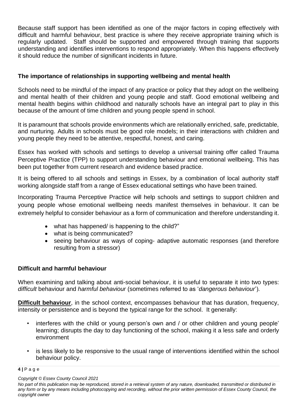Because staff support has been identified as one of the major factors in coping effectively with difficult and harmful behaviour, best practice is where they receive appropriate training which is regularly updated. Staff should be supported and empowered through training that supports understanding and identifies interventions to respond appropriately. When this happens effectively it should reduce the number of significant incidents in future.

## **The importance of relationships in supporting wellbeing and mental health**

Schools need to be mindful of the impact of any practice or policy that they adopt on the wellbeing and mental health of their children and young people and staff. Good emotional wellbeing and mental health begins within childhood and naturally schools have an integral part to play in this because of the amount of time children and young people spend in school.

It is paramount that schools provide environments which are relationally enriched, safe, predictable, and nurturing. Adults in schools must be good role models; in their interactions with children and young people they need to be attentive, respectful, honest, and caring.

Essex has worked with schools and settings to develop a universal training offer called Trauma Perceptive Practice (TPP) to support understanding behaviour and emotional wellbeing. This has been put together from current research and evidence based practice.

It is being offered to all schools and settings in Essex, by a combination of local authority staff working alongside staff from a range of Essex educational settings who have been trained.

Incorporating Trauma Perceptive Practice will help schools and settings to support children and young people whose emotional wellbeing needs manifest themselves in behaviour. It can be extremely helpful to consider behaviour as a form of communication and therefore understanding it.

- what has happened/ is happening to the child?"
- what is being communicated?
- seeing behaviour as ways of coping- adaptive automatic responses (and therefore resulting from a stressor)

## **Difficult and harmful behaviour**

When examining and talking about anti-social behaviour, it is useful to separate it into two types: *difficult* behaviour and *harmful behaviour* (sometimes referred to as '*dangerous behaviour*').

**Difficult behaviour**, in the school context, encompasses behaviour that has duration, frequency, intensity or persistence and is beyond the typical range for the school. It generally:

- interferes with the child or young person's own and / or other children and young people' learning; disrupts the day to day functioning of the school, making it a less safe and orderly environment
- is less likely to be responsive to the usual range of interventions identified within the school behaviour policy.

#### **4 |** P a g e

*No part of this publication may be reproduced, stored in a retrieval system of any nature, downloaded, transmitted or distributed in any form or by any means including photocopying and recording, without the prior written permission of Essex County Council, the copyright owner*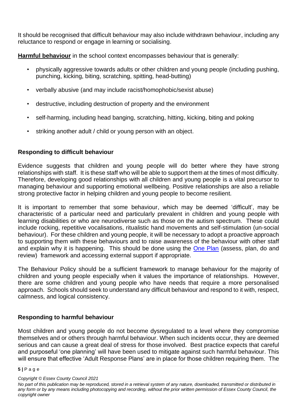It should be recognised that difficult behaviour may also include withdrawn behaviour, including any reluctance to respond or engage in learning or socialising.

**Harmful behaviour** in the school context encompasses behaviour that is generally:

- physically aggressive towards adults or other children and young people (including pushing, punching, kicking, biting, scratching, spitting, head-butting)
- verbally abusive (and may include racist/homophobic/sexist abuse)
- destructive, including destruction of property and the environment
- self-harming, including head banging, scratching, hitting, kicking, biting and poking
- striking another adult / child or young person with an object.

## **Responding to difficult behaviour**

Evidence suggests that children and young people will do better where they have strong relationships with staff. It is these staff who will be able to support them at the times of most difficulty. Therefore, developing good relationships with all children and young people is a vital precursor to managing behaviour and supporting emotional wellbeing. Positive relationships are also a reliable strong protective factor in helping children and young people to become resilient.

It is important to remember that some behaviour, which may be deemed 'difficult', may be characteristic of a particular need and particularly prevalent in children and young people with learning disabilities or who are neurodiverse such as those on the autism spectrum. These could include rocking, repetitive vocalisations, ritualistic hand movements and self-stimulation (un-social behaviour). For these children and young people, it will be necessary to adopt a proactive approach to supporting them with these behaviours and to raise awareness of the behaviour with other staff and explain why it is happening. This should be done using the [One Plan](https://schools-secure.essex.gov.uk/pupils/sen/The%20One%20Plan%20Environment/Pages/The%20One%20Plan%20Environment.aspx) (assess, plan, do and review) framework and accessing external support if appropriate.

The Behaviour Policy should be a sufficient framework to manage behaviour for the majority of children and young people especially when it values the importance of relationships. However, there are some children and young people who have needs that require a more personalised approach. Schools should seek to understand any difficult behaviour and respond to it with, respect, calmness, and logical consistency.

## **Responding to harmful behaviour**

Most children and young people do not become dysregulated to a level where they compromise themselves and or others through harmful behaviour. When such incidents occur, they are deemed serious and can cause a great deal of stress for those involved. Best practice expects that careful and purposeful 'one planning' will have been used to mitigate against such harmful behaviour. This will ensure that effective 'Adult Response Plans' are in place for those children requiring them. The

**<sup>5</sup> |** P a g e

*Copyright © Essex County Council 2021*

*No part of this publication may be reproduced, stored in a retrieval system of any nature, downloaded, transmitted or distributed in any form or by any means including photocopying and recording, without the prior written permission of Essex County Council, the copyright owner*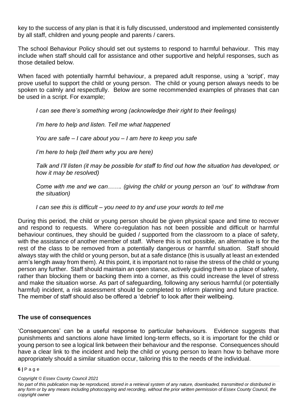key to the success of any plan is that it is fully discussed, understood and implemented consistently by all staff, children and young people and parents / carers.

The school Behaviour Policy should set out systems to respond to harmful behaviour. This may include when staff should call for assistance and other supportive and helpful responses, such as those detailed below.

When faced with potentially harmful behaviour, a prepared adult response, using a 'script', may prove useful to support the child or young person. The child or young person always needs to be spoken to calmly and respectfully. Below are some recommended examples of phrases that can be used in a script. For example;

*I can see there's something wrong (acknowledge their right to their feelings)*

*I'm here to help and listen. Tell me what happened*

*You are safe – I care about you – I am here to keep you safe*

*I'm here to help (tell them why you are here)*

*Talk and I'll listen (it may be possible for staff to find out how the situation has developed, or how it may be resolved)*

*Come with me and we can……. (giving the child or young person an 'out' to withdraw from the situation)*

*I can see this is difficult – you need to try and use your words to tell me*

During this period, the child or young person should be given physical space and time to recover and respond to requests. Where co-regulation has not been possible and difficult or harmful behaviour continues, they should be guided / supported from the classroom to a place of safety, with the assistance of another member of staff. Where this is not possible, an alternative is for the rest of the class to be removed from a potentially dangerous or harmful situation. Staff should always stay with the child or young person, but at a safe distance (this is usually at least an extended arm's length away from them). At this point, it is important not to raise the stress of the child or young person any further. Staff should maintain an open stance, actively guiding them to a place of safety, rather than blocking them or backing them into a corner, as this could increase the level of stress and make the situation worse. As part of safeguarding, following any serious harmful (or potentially harmful) incident, a risk assessment should be completed to inform planning and future practice. The member of staff should also be offered a 'debrief' to look after their wellbeing.

#### **The use of consequences**

'Consequences' can be a useful response to particular behaviours. Evidence suggests that punishments and sanctions alone have limited long-term effects, so it is important for the child or young person to see a logical link between their behaviour and the response. Consequences should have a clear link to the incident and help the child or young person to learn how to behave more appropriately should a similar situation occur, tailoring this to the needs of the individual.

#### **6 |** P a g e

*No part of this publication may be reproduced, stored in a retrieval system of any nature, downloaded, transmitted or distributed in any form or by any means including photocopying and recording, without the prior written permission of Essex County Council, the copyright owner*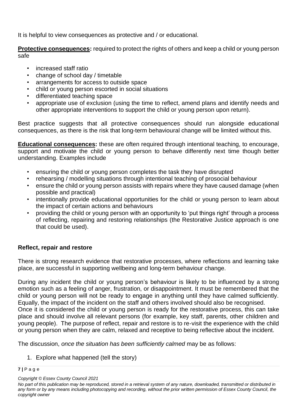It is helpful to view consequences as protective and / or educational.

**Protective consequences:** required to protect the rights of others and keep a child or young person safe

- increased staff ratio
- change of school day / timetable
- arrangements for access to outside space
- child or young person escorted in social situations
- differentiated teaching space
- appropriate use of exclusion (using the time to reflect, amend plans and identify needs and other appropriate interventions to support the child or young person upon return).

Best practice suggests that all protective consequences should run alongside educational consequences, as there is the risk that long-term behavioural change will be limited without this.

**Educational consequences:** these are often required through intentional teaching, to encourage, support and motivate the child or young person to behave differently next time though better understanding. Examples include

- ensuring the child or young person completes the task they have disrupted
- rehearsing / modelling situations through intentional teaching of prosocial behaviour
- ensure the child or young person assists with repairs where they have caused damage (when possible and practical)
- intentionally provide educational opportunities for the child or young person to learn about the impact of certain actions and behaviours
- providing the child or young person with an opportunity to 'put things right' through a process of reflecting, repairing and restoring relationships (the Restorative Justice approach is one that could be used).

## **Reflect, repair and restore**

There is strong research evidence that restorative processes, where reflections and learning take place, are successful in supporting wellbeing and long-term behaviour change.

During any incident the child or young person's behaviour is likely to be influenced by a strong emotion such as a feeling of anger, frustration, or disappointment. It must be remembered that the child or young person will not be ready to engage in anything until they have calmed sufficiently. Equally, the impact of the incident on the staff and others involved should also be recognised. Once it is considered the child or young person is ready for the restorative process, this can take place and should involve all relevant persons (for example, key staff, parents, other children and young people). The purpose of reflect, repair and restore is to re-visit the experience with the child or young person when they are calm, relaxed and receptive to being reflective about the incident.

The discussion, *once the situation has been sufficiently calmed* may be as follows:

1. Explore what happened (tell the story)

## **7 |** P a g e

*Copyright © Essex County Council 2021*

*No part of this publication may be reproduced, stored in a retrieval system of any nature, downloaded, transmitted or distributed in any form or by any means including photocopying and recording, without the prior written permission of Essex County Council, the copyright owner*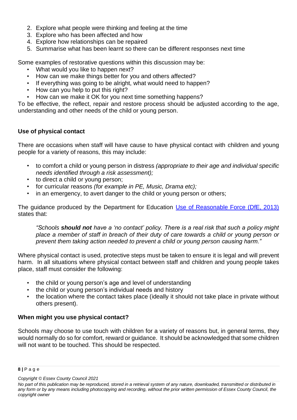- 2. Explore what people were thinking and feeling at the time
- 3. Explore who has been affected and how
- 4. Explore how relationships can be repaired
- 5. Summarise what has been learnt so there can be different responses next time

Some examples of restorative questions within this discussion may be:

- What would you like to happen next?
- How can we make things better for you and others affected?
- If everything was going to be alright, what would need to happen?
- How can you help to put this right?
- How can we make it OK for you next time something happens?

To be effective, the reflect, repair and restore process should be adjusted according to the age, understanding and other needs of the child or young person.

## **Use of physical contact**

There are occasions when staff will have cause to have physical contact with children and young people for a variety of reasons, this may include:

- to comfort a child or young person in distress *(appropriate to their age and individual specific needs identified through a risk assessment);*
- to direct a child or young person;
- for curricular reasons *(for example in PE, Music, Drama etc);*
- in an emergency, to avert danger to the child or young person or others;

The guidance produced by the Department for Education [Use of Reasonable Force \(DfE, 2013\)](https://assets.publishing.service.gov.uk/government/uploads/system/uploads/attachment_data/file/444051/Use_of_reasonable_force_advice_Reviewed_July_2015.pdf) states that:

*"Schools should not have a 'no contact' policy. There is a real risk that such a policy might place a member of staff in breach of their duty of care towards a child or young person or prevent them taking action needed to prevent a child or young person causing harm."*

Where physical contact is used, protective steps must be taken to ensure it is legal and will prevent harm. In all situations where physical contact between staff and children and young people takes place, staff must consider the following:

- the child or young person's age and level of understanding
- the child or young person's individual needs and history
- the location where the contact takes place (ideally it should not take place in private without others present).

## **When might you use physical contact?**

Schools may choose to use touch with children for a variety of reasons but, in general terms, they would normally do so for comfort, reward or guidance. It should be acknowledged that some children will not want to be touched. This should be respected.

**<sup>8</sup> |** P a g e

*Copyright © Essex County Council 2021*

*No part of this publication may be reproduced, stored in a retrieval system of any nature, downloaded, transmitted or distributed in any form or by any means including photocopying and recording, without the prior written permission of Essex County Council, the copyright owner*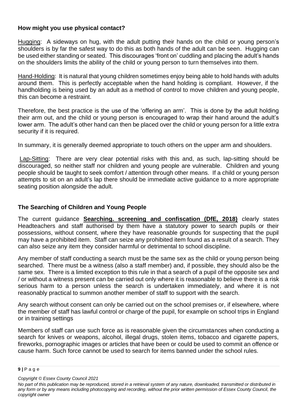## **How might you use physical contact?**

Hugging: A sideways on hug, with the adult putting their hands on the child or young person's shoulders is by far the safest way to do this as both hands of the adult can be seen. Hugging can be used either standing or seated. This discourages 'front on' cuddling and placing the adult's hands on the shoulders limits the ability of the child or young person to turn themselves into them.

Hand-Holding: It is natural that young children sometimes enjoy being able to hold hands with adults around them. This is perfectly acceptable when the hand holding is compliant. However, if the handholding is being used by an adult as a method of control to move children and young people, this can become a restraint.

Therefore, the best practice is the use of the 'offering an arm'. This is done by the adult holding their arm out, and the child or young person is encouraged to wrap their hand around the adult's lower arm. The adult's other hand can then be placed over the child or young person for a little extra security if it is required.

In summary, it is generally deemed appropriate to touch others on the upper arm and shoulders.

Lap-Sitting: There are very clear potential risks with this and, as such, lap-sitting should be discouraged, so neither staff nor children and young people are vulnerable. Children and young people should be taught to seek comfort / attention through other means. If a child or young person attempts to sit on an adult's lap there should be immediate active guidance to a more appropriate seating position alongside the adult.

## **The Searching of Children and Young People**

The current guidance **[Searching. screening and confiscation \(DfE, 2018\)](https://www.gov.uk/government/uploads/system/uploads/attachment_data/file/674416/Searching_screening_and_confiscation.pdf?mc_cid=30fb7d16ea&mc_eid=c306408d2b)** clearly states Headteachers and staff authorised by them have a statutory power to search pupils or their possessions, without consent, where they have reasonable grounds for suspecting that the pupil may have a prohibited item. Staff can seize any prohibited item found as a result of a search. They can also seize any item they consider harmful or detrimental to school discipline.

Any member of staff conducting a search must be the same sex as the child or young person being searched. There must be a witness (also a staff member) and, if possible, they should also be the same sex. There is a limited exception to this rule in that a search of a pupil of the opposite sex and / or without a witness present can be carried out only where it is reasonable to believe there is a risk serious harm to a person unless the search is undertaken immediately, and where it is not reasonably practical to summon another member of staff to support with the search.

Any search without consent can only be carried out on the school premises or, if elsewhere, where the member of staff has lawful control or charge of the pupil, for example on school trips in England or in training settings

Members of staff can use such force as is reasonable given the circumstances when conducting a search for knives or weapons, alcohol, illegal drugs, stolen items, tobacco and cigarette papers, fireworks, pornographic images or articles that have been or could be used to commit an offence or cause harm. Such force cannot be used to search for items banned under the school rules.

**<sup>9</sup> |** P a g e

*Copyright © Essex County Council 2021*

*No part of this publication may be reproduced, stored in a retrieval system of any nature, downloaded, transmitted or distributed in any form or by any means including photocopying and recording, without the prior written permission of Essex County Council, the copyright owner*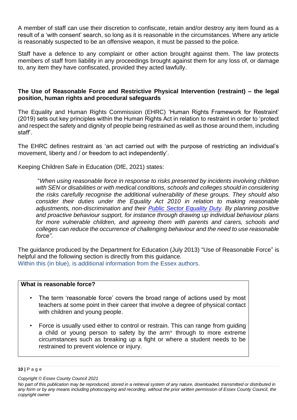A member of staff can use their discretion to confiscate, retain and/or destroy any item found as a result of a 'with consent' search, so long as it is reasonable in the circumstances. Where any article is reasonably suspected to be an offensive weapon, it must be passed to the police.

Staff have a defence to any complaint or other action brought against them. The law protects members of staff from liability in any proceedings brought against them for any loss of, or damage to, any item they have confiscated, provided they acted lawfully.

## **The Use of Reasonable Force and Restrictive Physical Intervention (restraint) – the legal position, human rights and procedural safeguards**

The Equality and Human Rights Commission (EHRC) 'Human Rights Framework for Restraint' (2019) sets out key principles within the Human Rights Act in relation to restraint in order to 'protect and respect the safety and dignity of people being restrained as well as those around them, including staff'.

The EHRC defines restraint as 'an act carried out with the purpose of restricting an individual's movement, liberty and / or freedom to act independently'.

Keeping Children Safe in Education (DfE, 2021) states:

"*When using reasonable force in response to risks presented by incidents involving children with SEN or disabilities or with medical conditions, schools and colleges should in considering the risks carefully recognise the additional vulnerability of these groups. They should also consider their duties under the Equality Act 2010 in relation to making reasonable adjustments, non-discrimination and their [Public Sector Equality Duty.](http://www.legislation.gov.uk/ukpga/2010/15/section/149) By planning positive and proactive behaviour support, for instance through drawing up individual behaviour plans for more vulnerable children, and agreeing them with parents and carers, schools and colleges can reduce the occurrence of challenging behaviour and the need to use reasonable force".*

The guidance produced by the Department for Education (July 2013) "Use of Reasonable Force" is helpful and the following section is directly from this guidance. Within this (in blue), is additional information from the Essex authors.

#### **What is reasonable force?**

- The term 'reasonable force' covers the broad range of actions used by most teachers at some point in their career that involve a degree of physical contact with children and young people.
- Force is usually used either to control or restrain. This can range from guiding a child or young person to safety by the arm\* through to more extreme circumstances such as breaking up a fight or where a student needs to be restrained to prevent violence or injury.

**10 |** P a g e

*No part of this publication may be reproduced, stored in a retrieval system of any nature, downloaded, transmitted or distributed in any form or by any means including photocopying and recording, without the prior written permission of Essex County Council, the copyright owner*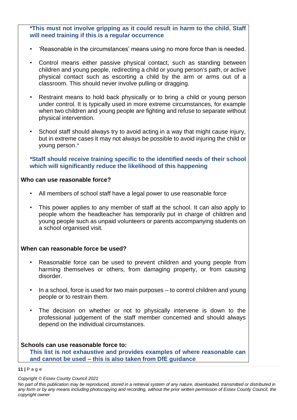**\*This must not involve gripping as it could result in harm to the child. Staff will need training if this is a regular occurrence**

- 'Reasonable in the circumstances' means using no more force than is needed.
- Control means either passive physical contact, such as standing between children and young people, redirecting a child or young person's path, or active physical contact such as escorting a child by the arm or arms out of a classroom. This should never involve pulling or dragging.
- Restraint means to hold back physically or to bring a child or young person under control. It is typically used in more extreme circumstances, for example when two children and young people are fighting and refuse to separate without physical intervention.
- School staff should always try to avoid acting in a way that might cause injury, but in extreme cases it may not always be possible to avoid injuring the child or young person.\*

**\*Staff should receive training specific to the identified needs of their school which will significantly reduce the likelihood of this happening**

#### **Who can use reasonable force?**

- All members of school staff have a legal power to use reasonable force
- This power applies to any member of staff at the school. It can also apply to people whom the headteacher has temporarily put in charge of children and young people such as unpaid volunteers or parents accompanying students on a school organised visit.

## **When can reasonable force be used?**

- Reasonable force can be used to prevent children and young people from harming themselves or others, from damaging property, or from causing disorder.
- In a school, force is used for two main purposes to control children and young people or to restrain them.
- The decision on whether or not to physically intervene is down to the professional judgement of the staff member concerned and should always depend on the individual circumstances.

## **Schools can use reasonable force to:**

**This list is not exhaustive and provides examples of where reasonable can and cannot be used – this is also taken from DfE guidance**

**11 |** P a g e

*No part of this publication may be reproduced, stored in a retrieval system of any nature, downloaded, transmitted or distributed in any form or by any means including photocopying and recording, without the prior written permission of Essex County Council, the copyright owner*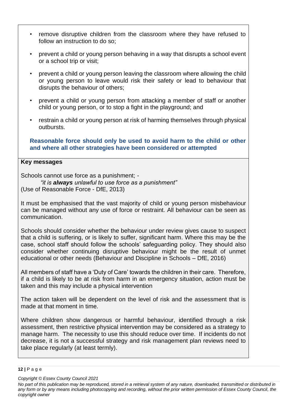- remove disruptive children from the classroom where they have refused to follow an instruction to do so;
- prevent a child or young person behaving in a way that disrupts a school event or a school trip or visit;
- prevent a child or young person leaving the classroom where allowing the child or young person to leave would risk their safety or lead to behaviour that disrupts the behaviour of others;
- prevent a child or young person from attacking a member of staff or another child or young person, or to stop a fight in the playground; and
- restrain a child or young person at risk of harming themselves through physical outbursts.

**Reasonable force should only be used to avoid harm to the child or other and where all other strategies have been considered or attempted**

## **Key messages**

Schools cannot use force as a punishment; - *"it is always unlawful to use force as a punishment"*

(Use of Reasonable Force - DfE, 2013)

It must be emphasised that the vast majority of child or young person misbehaviour can be managed without any use of force or restraint. All behaviour can be seen as communication.

Schools should consider whether the behaviour under review gives cause to suspect that a child is suffering, or is likely to suffer, significant harm. Where this may be the case, school staff should follow the schools' safeguarding policy. They should also consider whether continuing disruptive behaviour might be the result of unmet educational or other needs (Behaviour and Discipline in Schools – DfE, 2016)

All members of staff have a 'Duty of Care' towards the children in their care. Therefore, if a child is likely to be at risk from harm in an emergency situation, action must be taken and this may include a physical intervention

The action taken will be dependent on the level of risk and the assessment that is made at that moment in time.

Where children show dangerous or harmful behaviour, identified through a risk assessment, then restrictive physical intervention may be considered as a strategy to manage harm. The necessity to use this should reduce over time. If incidents do not decrease, it is not a successful strategy and risk management plan reviews need to take place regularly (at least termly).

#### **12 |** P a g e

*No part of this publication may be reproduced, stored in a retrieval system of any nature, downloaded, transmitted or distributed in any form or by any means including photocopying and recording, without the prior written permission of Essex County Council, the copyright owner*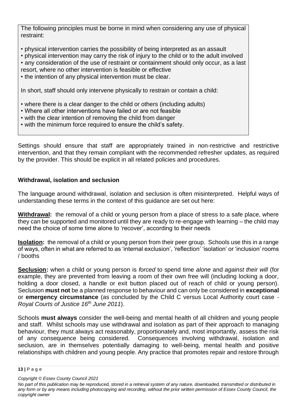The following principles must be borne in mind when considering any use of physical restraint:

- physical intervention carries the possibility of being interpreted as an assault
- physical intervention may carry the risk of injury to the child or to the adult involved
- any consideration of the use of restraint or containment should only occur, as a last
- resort, where no other intervention is feasible or effective
- the intention of any physical intervention must be clear.

In short, staff should only intervene physically to restrain or contain a child:

- where there is a clear danger to the child or others (including adults)
- Where all other interventions have failed or are not feasible
- with the clear intention of removing the child from danger
- with the minimum force required to ensure the child's safety.

Settings should ensure that staff are appropriately trained in non-restrictive and restrictive intervention, and that they remain compliant with the recommended refresher updates, as required by the provider. This should be explicit in all related policies and procedures.

## **Withdrawal, isolation and seclusion**

The language around withdrawal, isolation and seclusion is often misinterpreted. Helpful ways of understanding these terms in the context of this guidance are set out here:

**Withdrawal:** the removal of a child or young person from a place of stress to a safe place, where they can be supported and monitored until they are ready to re-engage with learning – the child may need the choice of some time alone to 'recover', according to their needs

**Isolation:** the removal of a child or young person from their peer group. Schools use this in a range of ways, often in what are referred to as 'internal exclusion', 'reflection' 'isolation' or 'inclusion' rooms / booths

**Seclusion:** when a child or young person is *forced* to spend time *alone* and *against their will* (for example, they are prevented from leaving a room of their own free will (including locking a door, holding a door closed, a handle or exit button placed out of reach of child or young person). Seclusion **must not** be a planned response to behaviour and can only be considered in **exceptional** or **emergency circumstance** (as concluded by the Child C versus Local Authority court case - *Royal Courts of Justice 16th June 2011*).

Schools **must always** consider the well-being and mental health of all children and young people and staff. Whilst schools may use withdrawal and isolation as part of their approach to managing behaviour, they must always act reasonably, proportionately and, most importantly, assess the risk of any consequence being considered. Consequences involving withdrawal, isolation and seclusion, are in themselves potentially damaging to well-being, mental health and positive relationships with children and young people. Any practice that promotes repair and restore through

**<sup>13</sup> |** P a g e

*Copyright © Essex County Council 2021*

*No part of this publication may be reproduced, stored in a retrieval system of any nature, downloaded, transmitted or distributed in any form or by any means including photocopying and recording, without the prior written permission of Essex County Council, the copyright owner*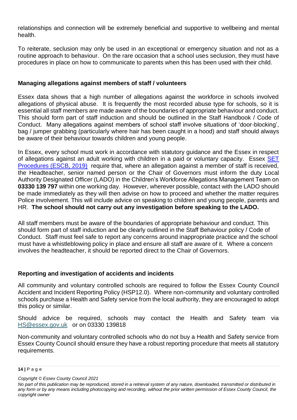relationships and connection will be extremely beneficial and supportive to wellbeing and mental health.

To reiterate, seclusion may only be used in an exceptional or emergency situation and not as a routine approach to behaviour. On the rare occasion that a school uses seclusion, they must have procedures in place on how to communicate to parents when this has been used with their child.

## **Managing allegations against members of staff / volunteers**

Essex data shows that a high number of allegations against the workforce in schools involved allegations of physical abuse. It is frequently the most recorded abuse type for schools, so it is essential all staff members are made aware of the boundaries of appropriate behaviour and conduct. This should form part of staff induction and should be outlined in the Staff Handbook / Code of Conduct. Many allegations against members of school staff involve situations of 'door-blocking', bag / jumper grabbing (particularly where hair has been caught in a hood) and staff should always be aware of their behaviour towards children and young people.

In Essex, every school must work in accordance with statutory guidance and the Essex in respect of allegations against an adult working with children in a paid or voluntary capacity. Essex [SET](http://www.escb.co.uk/media/2016/set-procedures-may-2019-final.pdf)  [Procedures \(ESCB, 2019\)](http://www.escb.co.uk/media/2016/set-procedures-may-2019-final.pdf) require that, where an allegation against a member of staff is received, the Headteacher, senior named person or the Chair of Governors must inform the duty Local Authority Designated Officer (LADO) in the Children's Workforce Allegations Management Team on **03330 139 797** within one working day. However, wherever possible, contact with the LADO should be made immediately as they will then advise on how to proceed and whether the matter requires Police involvement. This will include advice on speaking to children and young people, parents and HR. **The school should not carry out any investigation before speaking to the LADO.**

All staff members must be aware of the boundaries of appropriate behaviour and conduct. This should form part of staff induction and be clearly outlined in the Staff Behaviour policy / Code of Conduct. Staff must feel safe to report any concerns around inappropriate practice and the school must have a whistleblowing policy in place and ensure all staff are aware of it. Where a concern involves the headteacher, it should be reported direct to the Chair of Governors.

## **Reporting and investigation of accidents and incidents**

All community and voluntary controlled schools are required to follow the Essex County Council Accident and Incident Reporting Policy (HSP12.0). Where non-community and voluntary controlled schools purchase a Health and Safety service from the local authority, they are encouraged to adopt this policy or similar.

Should advice be required, schools may contact the Health and Safety team via [HS@essex.gov.uk](mailto:HS@essex.gov.uk) or on 03330 139818

Non-community and voluntary controlled schools who do not buy a Health and Safety service from Essex County Council should ensure they have a robust reporting procedure that meets all statutory requirements.

**<sup>14</sup> |** P a g e

*Copyright © Essex County Council 2021*

*No part of this publication may be reproduced, stored in a retrieval system of any nature, downloaded, transmitted or distributed in any form or by any means including photocopying and recording, without the prior written permission of Essex County Council, the copyright owner*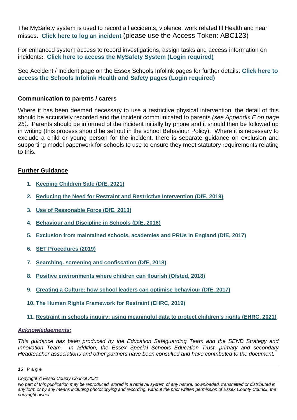The MySafety system is used to record all accidents, violence, work related Ill Health and near misses**. [Click here to log an incident](https://eur02.safelinks.protection.outlook.com/?url=https%3A%2F%2Fmysafety.essex.gov.uk%2Fv6%2FIncidentPortal&data=04%7C01%7C%7C4a66dfa3ba754c5ee84d08d960bdcd66%7Ca8b4324f155c4215a0f17ed8cc9a992f%7C0%7C0%7C637647190566545672%7CUnknown%7CTWFpbGZsb3d8eyJWIjoiMC4wLjAwMDAiLCJQIjoiV2luMzIiLCJBTiI6Ik1haWwiLCJXVCI6Mn0%3D%7C1000&sdata=7oy8BV9s8IMiYVSdgfKGPZllGg0OdrF%2BAPjeVSWJBHQ%3D&reserved=0)** (please use the Access Token: ABC123)

For enhanced system access to record investigations, assign tasks and access information on incidents**: [Click here to access the MySafety System \(Login required\)](https://eur02.safelinks.protection.outlook.com/?url=https%3A%2F%2Fmysafety.essex.gov.uk%2Fv6&data=04%7C01%7C%7C4a66dfa3ba754c5ee84d08d960bdcd66%7Ca8b4324f155c4215a0f17ed8cc9a992f%7C0%7C0%7C637647190566545672%7CUnknown%7CTWFpbGZsb3d8eyJWIjoiMC4wLjAwMDAiLCJQIjoiV2luMzIiLCJBTiI6Ik1haWwiLCJXVCI6Mn0%3D%7C1000&sdata=WzfNNolsbuP0T3RFp1dtp%2BRta5rdkANWQczU3ivoScI%3D&reserved=0)**

See Accident / Incident page on the Essex Schools Infolink pages for further details: **[Click here to](https://eur02.safelinks.protection.outlook.com/?url=https%3A%2F%2Fschools.essex.gov.uk%2Fadmin%2Fhs%2FPages%2Fportal.aspx&data=04%7C01%7C%7C4a66dfa3ba754c5ee84d08d960bdcd66%7Ca8b4324f155c4215a0f17ed8cc9a992f%7C0%7C0%7C637647190566555662%7CUnknown%7CTWFpbGZsb3d8eyJWIjoiMC4wLjAwMDAiLCJQIjoiV2luMzIiLCJBTiI6Ik1haWwiLCJXVCI6Mn0%3D%7C1000&sdata=CF3qetUdrYvsLVJe8DDoacss2ZuQRn%2FqGlYzc2SKAKw%3D&reserved=0)  [access the Schools Infolink Health and Safety pages \(Login required\)](https://eur02.safelinks.protection.outlook.com/?url=https%3A%2F%2Fschools.essex.gov.uk%2Fadmin%2Fhs%2FPages%2Fportal.aspx&data=04%7C01%7C%7C4a66dfa3ba754c5ee84d08d960bdcd66%7Ca8b4324f155c4215a0f17ed8cc9a992f%7C0%7C0%7C637647190566555662%7CUnknown%7CTWFpbGZsb3d8eyJWIjoiMC4wLjAwMDAiLCJQIjoiV2luMzIiLCJBTiI6Ik1haWwiLCJXVCI6Mn0%3D%7C1000&sdata=CF3qetUdrYvsLVJe8DDoacss2ZuQRn%2FqGlYzc2SKAKw%3D&reserved=0)**

## **Communication to parents / carers**

Where it has been deemed necessary to use a restrictive physical intervention, the detail of this should be accurately recorded and the incident communicated to parents *(see Appendix E on page 25)*. Parents should be informed of the incident initially by phone and it should then be followed up in writing (this process should be set out in the school Behaviour Policy). Where it is necessary to exclude a child or young person for the incident, there is separate guidance on exclusion and supporting model paperwork for schools to use to ensure they meet statutory requirements relating to this.

## **Further Guidance**

- **1. [Keeping Children Safe \(DfE, 2021\)](https://www.gov.uk/government/publications/keeping-children-safe-in-education--2)**
- **2. [Reducing the Need for Restraint and Restrictive Intervention \(DfE, 2019\)](https://assets.publishing.service.gov.uk/government/uploads/system/uploads/attachment_data/file/812435/reducing-the-need-for-restraint-and-restrictive-intervention.pdf)**
- **3. [Use of Reasonable Force \(DfE, 2013\)](https://assets.publishing.service.gov.uk/government/uploads/system/uploads/attachment_data/file/444051/Use_of_reasonable_force_advice_Reviewed_July_2015.pdf)**
- **4. [Behaviour and Discipline in Schools \(DfE, 2016\)](https://www.gov.uk/government/uploads/system/uploads/attachment_data/file/488034/Behaviour_and_Discipline_in_Schools_-_A_guide_for_headteachers_and_School_Staff.pdf)**
- **5. [Exclusion from maintained schools, academies and PRUs in England \(DfE, 2017\)](https://assets.publishing.service.gov.uk/government/uploads/system/uploads/attachment_data/file/641418/20170831_Exclusion_Stat_guidance_Web_version.pdf)**
- **6. [SET Procedures \(2019\)](https://eur02.safelinks.protection.outlook.com/?url=http://www.escb.co.uk/media/2086/set-procedures-oct-2019-updated-southend-logo.pdf&data=02%7c01%7c%7cea1b7cd2e7f641af38a708d74c14acc9%7ca8b4324f155c4215a0f17ed8cc9a992f%7c0%7c0%7c637061524134838816&sdata=yGPqQiIpgotpBywZrZFWsgNRDUL5YvF5rA7je3%2Bm2J4%3D&reserved=0)**
- **7. [Searching. screening and confiscation \(DfE, 2018\)](https://www.gov.uk/government/uploads/system/uploads/attachment_data/file/674416/Searching_screening_and_confiscation.pdf?mc_cid=30fb7d16ea&mc_eid=c306408d2b)**
- **8. [Positive environments where children can flourish \(Ofsted, 2018\)](https://assets.publishing.service.gov.uk/government/uploads/system/uploads/attachment_data/file/693446/Environments_where_children_can_flourish.pdf)**
- **9. [Creating a Culture: how school leaders can optimise behaviour \(DfE, 2017\)](https://assets.publishing.service.gov.uk/government/uploads/system/uploads/attachment_data/file/602487/Tom_Bennett_Independent_Review_of_Behaviour_in_Schools.pdf)**
- **10. [The Human Rights Framework for Restraint \(EHRC, 2019\)](https://www.equalityhumanrights.com/sites/default/files/human-rights-framework-restraint.pdf)**
- **11. [Restraint in schools inquiry: using meaningful data to protect children's rights \(EHRC, 2021\)](https://eur02.safelinks.protection.outlook.com/?url=https%3A%2F%2Fwww.equalityhumanrights.com%2Fen%2Fpublication-download%2Frestraint-schools-inquiry-using-meaningful-data-protect-childrens-rights&data=04%7C01%7C%7C6a3b65b0c16e45968a3608d95672dd6d%7Ca8b4324f155c4215a0f17ed8cc9a992f%7C0%7C0%7C637635873601919114%7CUnknown%7CTWFpbGZsb3d8eyJWIjoiMC4wLjAwMDAiLCJQIjoiV2luMzIiLCJBTiI6Ik1haWwiLCJXVCI6Mn0%3D%7C1000&sdata=bqHNkT0ScbP79eGWyI7ZNKtmoof6pqqlJVV86IHdwwg%3D&reserved=0)**

## *Acknowledgements:*

*This guidance has been produced by the Education Safeguarding Team and the SEND Strategy and Innovation Team. In addition, the Essex Special Schools Education Trust, primary and secondary Headteacher associations and other partners have been consulted and have contributed to the document.*

#### **15 |** P a g e

*No part of this publication may be reproduced, stored in a retrieval system of any nature, downloaded, transmitted or distributed in any form or by any means including photocopying and recording, without the prior written permission of Essex County Council, the copyright owner*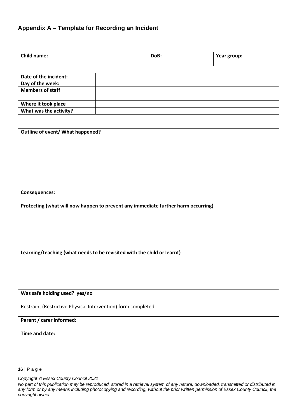# **Appendix A – Template for Recording an Incident**

| Child name:             | DoB: | Year group: |
|-------------------------|------|-------------|
|                         |      |             |
| Date of the incident:   |      |             |
| Day of the week:        |      |             |
| <b>Members of staff</b> |      |             |
| Where it took place     |      |             |
| What was the activity?  |      |             |

| Outline of event/ What happened?                                                  |
|-----------------------------------------------------------------------------------|
|                                                                                   |
|                                                                                   |
|                                                                                   |
|                                                                                   |
|                                                                                   |
|                                                                                   |
|                                                                                   |
| Consequences:                                                                     |
|                                                                                   |
| Protecting (what will now happen to prevent any immediate further harm occurring) |
|                                                                                   |
|                                                                                   |
|                                                                                   |
|                                                                                   |
|                                                                                   |
| Learning/teaching (what needs to be revisited with the child or learnt)           |
|                                                                                   |
|                                                                                   |
|                                                                                   |
|                                                                                   |
| Was safe holding used? yes/no                                                     |
|                                                                                   |
| Restraint (Restrictive Physical Intervention) form completed                      |
| Parent / carer informed:                                                          |
|                                                                                   |
| Time and date:                                                                    |
|                                                                                   |
|                                                                                   |
|                                                                                   |
|                                                                                   |
| $16$   Page                                                                       |

*Copyright © Essex County Council 2021*

*No part of this publication may be reproduced, stored in a retrieval system of any nature, downloaded, transmitted or distributed in any form or by any means including photocopying and recording, without the prior written permission of Essex County Council, the copyright owner*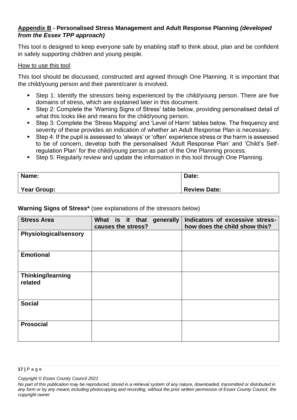## **Appendix B - Personalised Stress Management and Adult Response Planning** *(developed from the Essex TPP approach)*

This tool is designed to keep everyone safe by enabling staff to think about, plan and be confident in safely supporting children and young people.

#### How to use this tool

This tool should be discussed, constructed and agreed through One Planning. It is important that the child/young person and their parent/carer is involved.

- Step 1: Identify the stressors being experienced by the child/young person. There are five domains of stress, which are explained later in this document.
- Step 2: Complete the 'Warning Signs of Stress' table below, providing personalised detail of what this looks like and means for the child/young person.
- Step 3: Complete the 'Stress Mapping' and 'Level of Harm' tables below. The frequency and severity of these provides an indication of whether an Adult Response Plan is necessary.
- Step 4: If the pupil is assessed to 'always' or 'often' experience stress or the harm is assessed to be of concern, develop both the personalised 'Adult Response Plan' and 'Child's Selfregulation Plan' for the child/young person as part of the One Planning process.
- Step 5: Regularly review and update the information in this tool through One Planning.

| Name:       | Date:               |
|-------------|---------------------|
| Year Group: | <b>Review Date:</b> |

## **Warning Signs of Stress\*** (see explanations of the stressors below)

| <b>Stress Area</b>                  | What is it that generally<br>causes the stress? | Indicators of excessive stress-<br>how does the child show this? |
|-------------------------------------|-------------------------------------------------|------------------------------------------------------------------|
| <b>Physiological/sensory</b>        |                                                 |                                                                  |
| <b>Emotional</b>                    |                                                 |                                                                  |
| <b>Thinking/learning</b><br>related |                                                 |                                                                  |
| <b>Social</b>                       |                                                 |                                                                  |
| <b>Prosocial</b>                    |                                                 |                                                                  |

#### **17 |** P a g e

*No part of this publication may be reproduced, stored in a retrieval system of any nature, downloaded, transmitted or distributed in any form or by any means including photocopying and recording, without the prior written permission of Essex County Council, the copyright owner*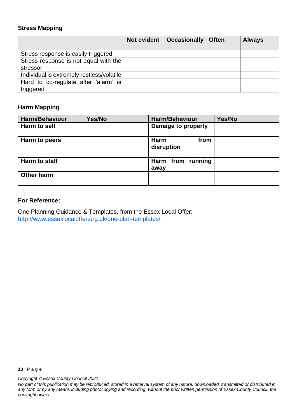## **Stress Mapping**

|                                           | Not evident | $\vert$ Occasionally $\vert$ | <b>Often</b> | <b>Always</b> |
|-------------------------------------------|-------------|------------------------------|--------------|---------------|
|                                           |             |                              |              |               |
| Stress response is easily triggered       |             |                              |              |               |
| Stress response is not equal with the     |             |                              |              |               |
| stressor                                  |             |                              |              |               |
| Individual is extremely restless/volatile |             |                              |              |               |
| Hard to co-regulate after 'alarm' is      |             |                              |              |               |
| triggered                                 |             |                              |              |               |

## **Harm Mapping**

| <b>Harm/Behaviour</b> | Yes/No | <b>Harm/Behaviour</b>             | Yes/No |
|-----------------------|--------|-----------------------------------|--------|
| Harm to self          |        | Damage to property                |        |
| Harm to peers         |        | <b>Harm</b><br>from<br>disruption |        |
| Harm to staff         |        | Harm from running<br>away         |        |
| <b>Other harm</b>     |        |                                   |        |

## **For Reference:**

One Planning Guidance & Templates, from the Essex Local Offer: <http://www.essexlocaloffer.org.uk/one-plan-templates/>

*No part of this publication may be reproduced, stored in a retrieval system of any nature, downloaded, transmitted or distributed in any form or by any means including photocopying and recording, without the prior written permission of Essex County Council, the copyright owner*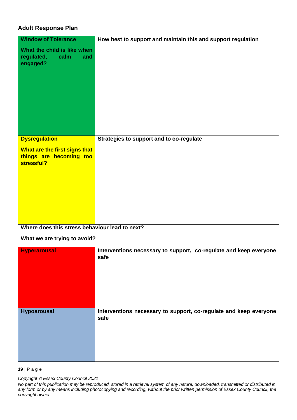## **Adult Response Plan**

| <b>Window of Tolerance</b><br>What the child is like when              | How best to support and maintain this and support regulation              |
|------------------------------------------------------------------------|---------------------------------------------------------------------------|
| regulated,<br>calm<br>and<br>engaged?                                  |                                                                           |
|                                                                        |                                                                           |
|                                                                        |                                                                           |
|                                                                        |                                                                           |
| <b>Dysregulation</b>                                                   | Strategies to support and to co-regulate                                  |
| What are the first signs that<br>things are becoming too<br>stressful? |                                                                           |
|                                                                        |                                                                           |
|                                                                        |                                                                           |
|                                                                        |                                                                           |
| Where does this stress behaviour lead to next?                         |                                                                           |
| What we are trying to avoid?                                           |                                                                           |
| <b>Hyperarousal</b>                                                    | Interventions necessary to support, co-regulate and keep everyone<br>safe |
|                                                                        |                                                                           |
|                                                                        |                                                                           |
| <b>Hypoarousal</b>                                                     | Interventions necessary to support, co-regulate and keep everyone<br>safe |
|                                                                        |                                                                           |
|                                                                        |                                                                           |

**19 |** P a g e

*Copyright © Essex County Council 2021*

*No part of this publication may be reproduced, stored in a retrieval system of any nature, downloaded, transmitted or distributed in any form or by any means including photocopying and recording, without the prior written permission of Essex County Council, the copyright owner*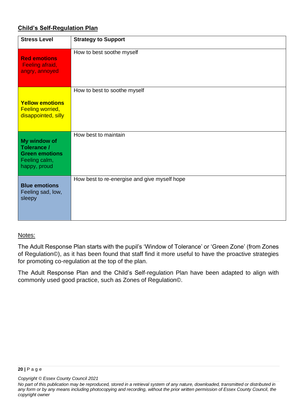## **Child's Self-Regulation Plan**

| <b>Stress Level</b>                                                                   | <b>Strategy to Support</b>                   |
|---------------------------------------------------------------------------------------|----------------------------------------------|
| <b>Red emotions</b><br>Feeling afraid,<br>angry, annoyed                              | How to best soothe myself                    |
| <b>Yellow emotions</b><br><b>Feeling worried,</b><br>disappointed, silly              | How to best to soothe myself                 |
| My window of<br>Tolerance /<br><b>Green emotions</b><br>Feeling calm,<br>happy, proud | How best to maintain                         |
| <b>Blue emotions</b><br>Feeling sad, low,<br>sleepy                                   | How best to re-energise and give myself hope |

## Notes:

The Adult Response Plan starts with the pupil's 'Window of Tolerance' or 'Green Zone' (from Zones of Regulation©), as it has been found that staff find it more useful to have the proactive strategies for promoting co-regulation at the top of the plan.

The Adult Response Plan and the Child's Self-regulation Plan have been adapted to align with commonly used good practice, such as Zones of Regulation©.

*No part of this publication may be reproduced, stored in a retrieval system of any nature, downloaded, transmitted or distributed in any form or by any means including photocopying and recording, without the prior written permission of Essex County Council, the copyright owner*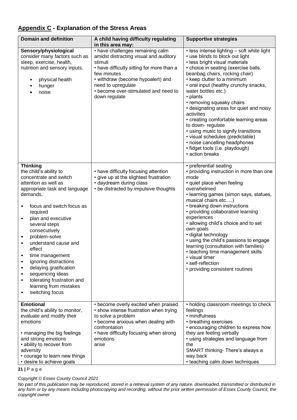## **Appendix C - Explanation of the Stress Areas**

| <b>Domain and definition</b>                                                                                                                                                                                                                                                                                                                                                                                                                                                                                                                                   | A child having difficulty regulating<br>in this area may:                                                                                                                                                                                                             | <b>Supportive strategies</b>                                                                                                                                                                                                                                                                                                                                                                                                                                                                                                                                                                                               |
|----------------------------------------------------------------------------------------------------------------------------------------------------------------------------------------------------------------------------------------------------------------------------------------------------------------------------------------------------------------------------------------------------------------------------------------------------------------------------------------------------------------------------------------------------------------|-----------------------------------------------------------------------------------------------------------------------------------------------------------------------------------------------------------------------------------------------------------------------|----------------------------------------------------------------------------------------------------------------------------------------------------------------------------------------------------------------------------------------------------------------------------------------------------------------------------------------------------------------------------------------------------------------------------------------------------------------------------------------------------------------------------------------------------------------------------------------------------------------------------|
| Sensory/physiological<br>consider many factors such as<br>sleep, exercise, health,<br>nutrition and sensory inputs.<br>physical health<br>hunger<br>noise                                                                                                                                                                                                                                                                                                                                                                                                      | • have challenges remaining calm<br>amidst distracting visual and auditory<br>stimuli<br>• have difficulty sitting for more than a<br>few minutes<br>• withdraw (become hypoalert) and<br>need to upregulate<br>• become over-stimulated and need to<br>down regulate | • less intense lighting - soft white light<br>• use blinds to block out light<br>• less bright visual materials<br>• choice in seating (exercise balls,<br>beanbag chairs, rocking chair)<br>• keep clutter to a minimum<br>• oral input (healthy crunchy snacks,<br>water bottles etc.)<br>• plants<br>• removing squeaky chairs<br>• designating areas for quiet and noisy<br>activities<br>• creating comfortable learning areas<br>to down-regulate<br>• using music to signify transitions<br>• visual schedules (predictable)<br>• noise cancelling headphones<br>· fidget tools (i.e. playdough)<br>• action breaks |
| <b>Thinking</b><br>the child's ability to<br>concentrate and switch<br>attention as well as<br>appropriate task and language<br>demands.<br>focus and switch focus as<br>required<br>plan and executive<br>$\bullet$<br>several steps<br>consecutively<br>problem-solve<br>$\bullet$<br>understand cause and<br>$\bullet$<br>effect<br>time management<br>٠<br>ignoring distractions<br>$\bullet$<br>delaying gratification<br>$\bullet$<br>sequencing ideas<br>٠<br>tolerating frustration and<br>٠<br>learning from mistakes<br>switching focus<br>$\bullet$ | • have difficulty focusing attention<br>• give up at the slightest frustration<br>• daydream during class<br>• be distracted by impulsive thoughts                                                                                                                    | • preferential seating<br>• providing instruction in more than one<br>mode<br>• quiet place when feeling<br>overwhelmed<br>• learning games (simon says, statues,<br>musical chairs etc)<br>• breaking down instructions<br>• providing collaborative learning<br>experiences<br>• allowing child's choice and to set<br>own goals<br>· digital technology<br>• using the child's passions to engage<br>learning (consultation with families)<br>• teaching time management skills<br>• visual timer<br>· self-reflection<br>• providing consistent routines                                                               |
| <b>Emotional</b><br>the child's ability to monitor,<br>evaluate and modify their<br>emotions<br>• managing the big feelings<br>and strong emotions<br>• ability to recover from<br>adversity<br>• courage to learn new things<br>• desire to achieve goals                                                                                                                                                                                                                                                                                                     | • become overly excited when praised<br>• show intense frustration when trying<br>to solve a problem<br>• become anxious when dealing with<br>confrontation<br>• have difficulty focusing when strong<br>emotions<br>arise                                            | • holding classroom meetings to check<br>feelings<br>• mindfulness<br>• breathing exercises<br>• encouraging children to express how<br>they are feeling verbally<br>• using strategies and language from<br>the<br>SMART thinking- There's always a<br>way back<br>• teaching calm down techniques                                                                                                                                                                                                                                                                                                                        |

**21 |** P a g e

*Copyright © Essex County Council 2021*

*No part of this publication may be reproduced, stored in a retrieval system of any nature, downloaded, transmitted or distributed in any form or by any means including photocopying and recording, without the prior written permission of Essex County Council, the copyright owner*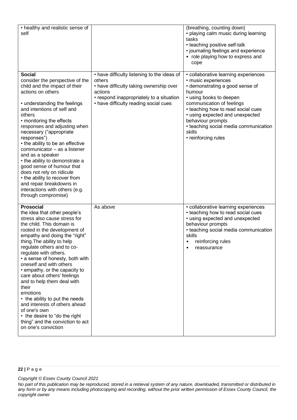| • healthy and realistic sense of<br>self                                                                                                                                                                                                                                                                                                                                                                                                                                                                                                                                                                                            |                                                                                                                                                                                                  | (breathing, counting down)<br>• playing calm music during learning<br>tasks<br>• teaching positive self-talk<br>· journaling feelings and experience<br>• role playing how to express and<br>cope                                                                                                                                        |
|-------------------------------------------------------------------------------------------------------------------------------------------------------------------------------------------------------------------------------------------------------------------------------------------------------------------------------------------------------------------------------------------------------------------------------------------------------------------------------------------------------------------------------------------------------------------------------------------------------------------------------------|--------------------------------------------------------------------------------------------------------------------------------------------------------------------------------------------------|------------------------------------------------------------------------------------------------------------------------------------------------------------------------------------------------------------------------------------------------------------------------------------------------------------------------------------------|
| <b>Social</b><br>consider the perspective of the<br>child and the impact of their<br>actions on others<br>• understanding the feelings<br>and intentions of self and<br>others<br>• monitoring the effects<br>responses and adjusting when<br>necessary ("appropriate<br>responses")<br>• the ability to be an effective<br>communicator - as a listener<br>and as a speaker<br>• the ability to demonstrate a<br>good sense of humour that<br>does not rely on ridicule<br>• the ability to recover from<br>and repair breakdowns in<br>interactions with others (e.g.<br>through compromise)                                      | • have difficulty listening to the ideas of<br>others<br>• have difficulty taking ownership over<br>actions<br>• respond inappropriately to a situation<br>• have difficulty reading social cues | • collaborative learning experiences<br>· music experiences<br>• demonstrating a good sense of<br>humour<br>• using books to deepen<br>communication of feelings<br>• teaching how to read social cues<br>• using expected and unexpected<br>behaviour prompts<br>• teaching social media communication<br>skills<br>• reinforcing rules |
| <b>Prosocial</b><br>the idea that other people's<br>stress also cause stress for<br>the child. This domain is<br>rooted in the development of<br>empathy and doing the "right"<br>thing. The ability to help<br>regulate others and to co-<br>regulate with others.<br>• a sense of honesty, both with<br>oneself and with others<br>• empathy, or the capacity to<br>care about others' feelings<br>and to help them deal with<br>their<br>emotions<br>• the ability to put the needs<br>and interests of others ahead<br>of one's own<br>• the desire to "do the right<br>thing" and the conviction to act<br>on one's conviction | As above                                                                                                                                                                                         | • collaborative learning experiences<br>• teaching how to read social cues<br>• using expected and unexpected<br>behaviour prompts<br>• teaching social media communication<br>skills<br>reinforcing rules<br>٠<br>reassurance                                                                                                           |

#### **22 |** P a g e

*No part of this publication may be reproduced, stored in a retrieval system of any nature, downloaded, transmitted or distributed in any form or by any means including photocopying and recording, without the prior written permission of Essex County Council, the copyright owner*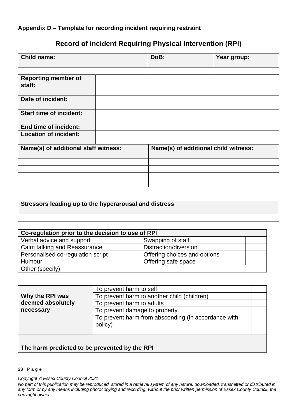## **Appendix D – Template for recording incident requiring restraint**

# **Record of incident Requiring Physical Intervention (RPI)**

| <b>Child name:</b>                   | DoB:                                 | Year group: |
|--------------------------------------|--------------------------------------|-------------|
|                                      |                                      |             |
| <b>Reporting member of</b><br>staff: |                                      |             |
| Date of incident:                    |                                      |             |
| <b>Start time of incident:</b>       |                                      |             |
| End time of incident:                |                                      |             |
| <b>Location of incident:</b>         |                                      |             |
| Name(s) of additional staff witness: | Name(s) of additional child witness: |             |
|                                      |                                      |             |
|                                      |                                      |             |
|                                      |                                      |             |
|                                      |                                      |             |

## **Stressors leading up to the hyperarousal and distress**

| Co-regulation prior to the decision to use of RPI |                              |  |  |
|---------------------------------------------------|------------------------------|--|--|
| Verbal advice and support                         | Swapping of staff            |  |  |
| Calm talking and Reassurance                      | Distraction/diversion        |  |  |
| Personalised co-regulation script                 | Offering choices and options |  |  |
| Humour                                            | Offering safe space          |  |  |
| Other (specify)                                   |                              |  |  |

| Why the RPI was<br>deemed absolutely<br>necessary | To prevent harm to self<br>To prevent harm to another child (children)<br>To prevent harm to adults<br>To prevent damage to property |  |  |
|---------------------------------------------------|--------------------------------------------------------------------------------------------------------------------------------------|--|--|
|                                                   | To prevent harm from absconding (in accordance with<br>policy)                                                                       |  |  |
|                                                   | .                                                                                                                                    |  |  |

## **The harm predicted to be prevented by the RPI**

#### **23 |** P a g e

*Copyright © Essex County Council 2021*

*No part of this publication may be reproduced, stored in a retrieval system of any nature, downloaded, transmitted or distributed in any form or by any means including photocopying and recording, without the prior written permission of Essex County Council, the copyright owner*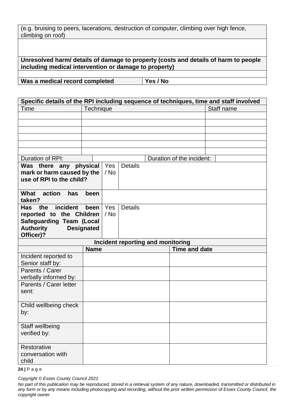| (e.g. bruising to peers, lacerations, destruction of computer, climbing over high fence, |  |  |  |
|------------------------------------------------------------------------------------------|--|--|--|
| climbing on roof)                                                                        |  |  |  |

**Unresolved harm/ details of damage to property (costs and details of harm to people including medical intervention or damage to property)**

**Was a medical record completed Yes / No**

| Specific details of the RPI including sequence of techniques, time and staff involved |                                     |            |  |  |
|---------------------------------------------------------------------------------------|-------------------------------------|------------|--|--|
| Time                                                                                  | Technique                           | Staff name |  |  |
|                                                                                       |                                     |            |  |  |
|                                                                                       |                                     |            |  |  |
|                                                                                       |                                     |            |  |  |
|                                                                                       |                                     |            |  |  |
|                                                                                       |                                     |            |  |  |
|                                                                                       |                                     |            |  |  |
| Duration of RPI:                                                                      | Duration of the incident:           |            |  |  |
| Was there any physical                                                                | <b>Details</b><br>Yes               |            |  |  |
| mark or harm caused by the                                                            | / No                                |            |  |  |
| use of RPI to the child?                                                              |                                     |            |  |  |
|                                                                                       |                                     |            |  |  |
| What action<br>has<br>taken?                                                          | been                                |            |  |  |
| incident<br>Has<br>the                                                                | Yes<br><b>Details</b><br>been       |            |  |  |
| reported to the Children                                                              | $/$ No                              |            |  |  |
| <b>Safeguarding Team (Local</b>                                                       |                                     |            |  |  |
| <b>Authority</b>                                                                      | <b>Designated</b>                   |            |  |  |
| Officer)?                                                                             |                                     |            |  |  |
|                                                                                       | Incident reporting and monitoring   |            |  |  |
|                                                                                       | <b>Name</b><br><b>Time and date</b> |            |  |  |
| Incident reported to                                                                  |                                     |            |  |  |
| Senior staff by:                                                                      |                                     |            |  |  |
| Parents / Carer                                                                       |                                     |            |  |  |
| verbally informed by:                                                                 |                                     |            |  |  |
| Parents / Carer letter                                                                |                                     |            |  |  |
| sent:                                                                                 |                                     |            |  |  |
|                                                                                       |                                     |            |  |  |
| Child wellbeing check                                                                 |                                     |            |  |  |
| by:                                                                                   |                                     |            |  |  |
|                                                                                       |                                     |            |  |  |
| Staff wellbeing                                                                       |                                     |            |  |  |
| verified by:                                                                          |                                     |            |  |  |
|                                                                                       |                                     |            |  |  |
| Restorative                                                                           |                                     |            |  |  |
| conversation with                                                                     |                                     |            |  |  |
| child                                                                                 |                                     |            |  |  |

**24 |** P a g e

*No part of this publication may be reproduced, stored in a retrieval system of any nature, downloaded, transmitted or distributed in any form or by any means including photocopying and recording, without the prior written permission of Essex County Council, the copyright owner*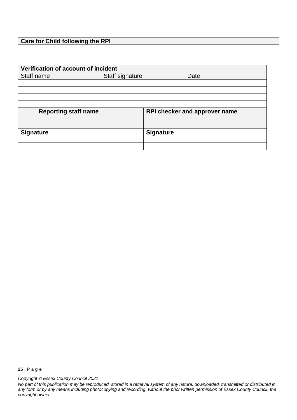## **Care for Child following the RPI**

| Verification of account of incident |                 |                               |      |  |
|-------------------------------------|-----------------|-------------------------------|------|--|
| Staff name                          | Staff signature |                               | Date |  |
|                                     |                 |                               |      |  |
|                                     |                 |                               |      |  |
|                                     |                 |                               |      |  |
|                                     |                 |                               |      |  |
| <b>Reporting staff name</b>         |                 | RPI checker and approver name |      |  |
| <b>Signature</b>                    |                 | <b>Signature</b>              |      |  |
|                                     |                 |                               |      |  |

*No part of this publication may be reproduced, stored in a retrieval system of any nature, downloaded, transmitted or distributed in any form or by any means including photocopying and recording, without the prior written permission of Essex County Council, the copyright owner*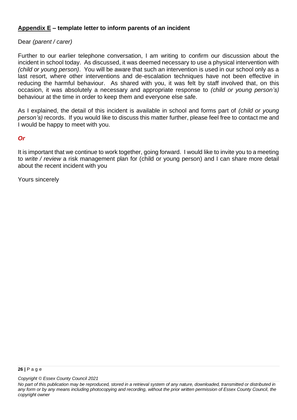## **Appendix E – template letter to inform parents of an incident**

## Dear *(parent / carer)*

Further to our earlier telephone conversation, I am writing to confirm our discussion about the incident in school today. As discussed, it was deemed necessary to use a physical intervention with *(child or young person)*. You will be aware that such an intervention is used in our school only as a last resort, where other interventions and de-escalation techniques have not been effective in reducing the harmful behaviour. As shared with you, it was felt by staff involved that, on this occasion, it was absolutely a necessary and appropriate response to *(child or young person's)*  behaviour at the time in order to keep them and everyone else safe.

As I explained, the detail of this incident is available in school and forms part of *(child or young person's)* records. If you would like to discuss this matter further, please feel free to contact me and I would be happy to meet with you.

## *Or*

It is important that we continue to work together, going forward. I would like to invite you to a meeting to *write / review* a risk management plan for (child or young person) and I can share more detail about the recent incident with you

Yours sincerely

*No part of this publication may be reproduced, stored in a retrieval system of any nature, downloaded, transmitted or distributed in any form or by any means including photocopying and recording, without the prior written permission of Essex County Council, the copyright owner*